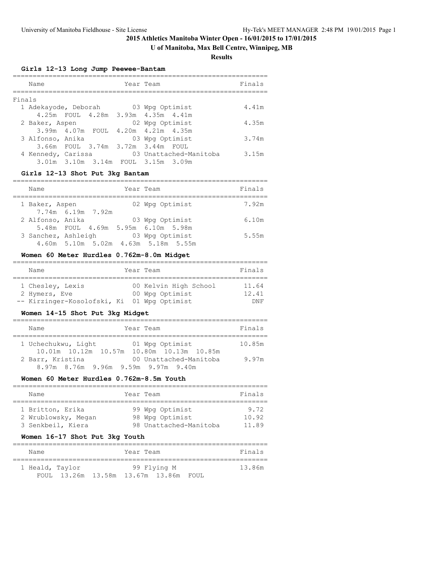# **U of Manitoba, Max Bell Centre, Winnipeg, MB**

**Results**

## **Girls 12-13 Long Jump Peewee-Bantam**

|        | Name                 |  | Year Team |                                    | Finals |
|--------|----------------------|--|-----------|------------------------------------|--------|
| Finals |                      |  |           |                                    |        |
|        | 1 Adekayode, Deborah |  |           | 03 Wpg Optimist                    | 4.41m  |
|        |                      |  |           | 4.25m FOUL 4.28m 3.93m 4.35m 4.41m |        |
|        | 2 Baker, Aspen       |  |           | 02 Wpg Optimist                    | 4.35m  |
|        | 3.99m 4.07m FOUL     |  |           | $4.20m$ $4.21m$ $4.35m$            |        |
|        | 3 Alfonso, Anika     |  |           | 03 Wpg Optimist                    | 3.74m  |
|        |                      |  |           | 3.66m FOUL 3.74m 3.72m 3.44m FOUL  |        |
|        | 4 Kennedy, Carissa   |  |           | 03 Unattached-Manitoba             | 3.15m  |
|        |                      |  |           | 3.01m 3.10m 3.14m FOUL 3.15m 3.09m |        |

## **Girls 12-13 Shot Put 3kg Bantam**

| Name                |  | Year Team                           | Finals |
|---------------------|--|-------------------------------------|--------|
| 1 Baker, Aspen      |  | 02 Wpg Optimist                     | 7.92m  |
| 7.74m 6.19m 7.92m   |  |                                     |        |
| 2 Alfonso, Anika    |  | 03 Wpg Optimist                     | 6.10m  |
|                     |  | 5.48m FOUL 4.69m 5.95m 6.10m 5.98m  |        |
| 3 Sanchez, Ashleigh |  | 03 Wpg Optimist                     | 5.55m  |
|                     |  | 4.60m 5.10m 5.02m 4.63m 5.18m 5.55m |        |

# **Women 60 Meter Hurdles 0.762m-8.0m Midget**

| Name             |                             | Finals                                                                   |
|------------------|-----------------------------|--------------------------------------------------------------------------|
|                  |                             |                                                                          |
| 1 Chesley, Lexis |                             | 11.64                                                                    |
| 2 Hymers, Eve    |                             | 12.41                                                                    |
|                  |                             | DNF                                                                      |
|                  | -- Kirzinger-Kosolofski, Ki | Year Team<br>00 Kelvin High School<br>00 Wpg Optimist<br>01 Wpg Optimist |

# **Women 14-15 Shot Put 3kg Midget**

| Year Team<br>Name                                                                   | Finals |
|-------------------------------------------------------------------------------------|--------|
| 1 Uchechukwu, Light<br>01 Wpg Optimist<br>10.01m 10.12m 10.57m 10.80m 10.13m 10.85m | 10.85m |
| 2 Barr, Kristina<br>00 Unattached-Manitoba<br>8.97m 8.76m 9.96m 9.59m 9.97m 9.40m   | 9.97m  |

## **Women 60 Meter Hurdles 0.762m-8.5m Youth**

| Name                | Year Team              | Finals |
|---------------------|------------------------|--------|
|                     |                        |        |
| 1 Britton, Erika    | 99 Wpg Optimist        | 9.72   |
| 2 Wrublowsky, Megan | 98 Wpg Optimist        | 10.92  |
| 3 Senkbeil, Kiera   | 98 Unattached-Manitoba | 11.89  |
|                     |                        |        |

# **Women 16-17 Shot Put 3kg Youth**

| Name            |  | Year Team |                                       |  |  | Finals |
|-----------------|--|-----------|---------------------------------------|--|--|--------|
|                 |  |           |                                       |  |  |        |
| 1 Heald, Taylor |  |           | 99 Flying M                           |  |  | 13.86m |
|                 |  |           | FOUL 13.26m 13.58m 13.67m 13.86m FOUL |  |  |        |

================================================================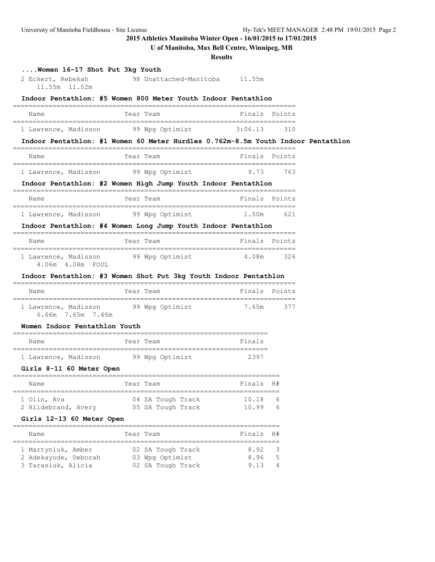# **U of Manitoba, Max Bell Centre, Winnipeg, MB**

**Results**

| Women 16-17 Shot Put 3kg Youth<br>2 Eckert, Rebekah<br>11.55m 11.52m | 98 Unattached-Manitoba 11.55m                                                    |                |               |  |
|----------------------------------------------------------------------|----------------------------------------------------------------------------------|----------------|---------------|--|
|                                                                      | Indoor Pentathlon: #5 Women 800 Meter Youth Indoor Pentathlon                    |                |               |  |
| Name                                                                 | Year Team                                                                        | Finals         | Points        |  |
| 1 Lawrence, Madisson                                                 | 99 Wpg Optimist                                                                  | 3:06.13        | 310           |  |
|                                                                      | Indoor Pentathlon: #1 Women 60 Meter Hurdles 0.762m-8.5m Youth Indoor Pentathlon |                |               |  |
| Name                                                                 | Year Team                                                                        |                | Finals Points |  |
| 1 Lawrence, Madisson                                                 | 99 Wpg Optimist                                                                  | 9.73           | 763           |  |
|                                                                      | Indoor Pentathlon: #2 Women High Jump Youth Indoor Pentathlon                    |                |               |  |
| Name                                                                 | Year Team                                                                        |                | Finals Points |  |
| 1 Lawrence, Madisson                                                 | 99 Wpg Optimist                                                                  | 1.50m          | 621           |  |
|                                                                      | Indoor Pentathlon: #4 Women Long Jump Youth Indoor Pentathlon                    |                |               |  |
| Name                                                                 | Year Team                                                                        |                | Finals Points |  |
| 1 Lawrence, Madisson<br>4.06m  4.08m  FOUL                           | 99 Wpg Optimist                                                                  | 4.08m          | 326           |  |
|                                                                      | Indoor Pentathlon: #3 Women Shot Put 3kg Youth Indoor Pentathlon                 |                |               |  |
| Name                                                                 | Year Team                                                                        |                | Finals Points |  |
| 1 Lawrence, Madisson<br>6.66m 7.65m 7.46m                            | 99 Wpg Optimist                                                                  | 7.65m          | 377           |  |
| Women Indoor Pentathlon Youth                                        |                                                                                  |                |               |  |
| Name                                                                 | Year Team                                                                        | Finals         |               |  |
| 1 Lawrence, Madisson                                                 | 99 Wpg Optimist                                                                  | 2397           |               |  |
| Girls 8-11 60 Meter Open                                             |                                                                                  |                |               |  |
| Name                                                                 | Year Team                                                                        | Finals         | H#            |  |
| 1 Olin, Ava<br>2 Hildebrand, Avery                                   | 04 SA Tough Track<br>05 SA Tough Track                                           | 10.18<br>10.99 | 6<br>6        |  |
| Girls 12-13 60 Meter Open                                            |                                                                                  |                |               |  |
| Name                                                                 | Year Team                                                                        | Finals         | H#            |  |
| 1 Martyniuk, Amber<br>2 Adekayode, Deborah                           | ________________________________<br>02 SA Tough Track<br>03 Wpg Optimist         | 8.92<br>8.96   | 3<br>5        |  |

3 Tarasiuk, Alicia 02 SA Tough Track 9.13 4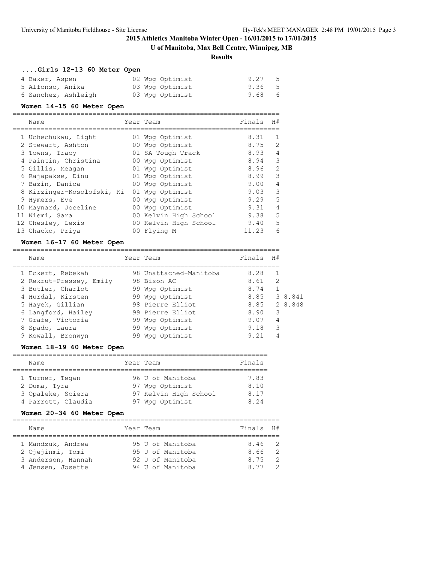# **U of Manitoba, Max Bell Centre, Winnipeg, MB**

#### **Results**

# **....Girls 12-13 60 Meter Open**

| 4 Baker, Aspen      | 02 Wpg Optimist | 9.27 5 |
|---------------------|-----------------|--------|
| 5 Alfonso, Anika    | 03 Wpg Optimist | 9.36 5 |
| 6 Sanchez, Ashleigh | 03 Wpg Optimist | 9.68 6 |

## **Women 14-15 60 Meter Open**

| Name                       |    | Year Team             | Finals | H#             |
|----------------------------|----|-----------------------|--------|----------------|
| 1 Uchechukwu, Light        |    | 01 Wpg Optimist       | 8.31   | 1              |
| 2 Stewart, Ashton          |    | 00 Wpg Optimist       | 8.75   | 2              |
| 3 Towns, Tracy             |    | 01 SA Tough Track     | 8.93   | $\overline{4}$ |
| 4 Paintin, Christina       | 00 | Wpg Optimist          | 8.94   | 3              |
| 5 Gillis, Meagan           |    | 01 Wpg Optimist       | 8.96   | $\overline{2}$ |
| 6 Rajapakse, Dinu          |    | 01 Wpg Optimist       | 8.99   | 3              |
| 7 Bazin, Danica            |    | 00 Wpg Optimist       | 9.00   | $\overline{4}$ |
| 8 Kirzinger-Kosolofski, Ki |    | 01 Wpg Optimist       | 9.03   | 3              |
| 9 Hymers, Eve              | 00 | Wpg Optimist          | 9.29   | 5              |
| 10 Maynard, Joceline       | 00 | Wpg Optimist          | 9.31   | $\overline{4}$ |
| 11 Niemi, Sara             |    | 00 Kelvin High School | 9.38   | 5              |
| 12 Chesley, Lexis          |    | 00 Kelvin High School | 9.40   | 5              |
| 13 Chacko, Priya           |    | 00 Flying M           | 11.23  | 6              |

## **Women 16-17 60 Meter Open**

| Name                    |    | Year Team              | Finals | H# |         |
|-------------------------|----|------------------------|--------|----|---------|
|                         |    |                        |        |    |         |
| 1 Eckert, Rebekah       |    | 98 Unattached-Manitoba | 8.28   |    |         |
| 2 Rekrut-Pressey, Emily |    | 98 Bison AC            | 8.61   | 2  |         |
| 3 Butler, Charlot       |    | 99 Wpg Optimist        | 8.74   |    |         |
| 4 Hurdal, Kirsten       |    | 99 Wpg Optimist        | 8.85   |    | 3 8.841 |
| 5 Hayek, Gillian        |    | 98 Pierre Elliot       | 8.85   |    | 2 8.848 |
| 6 Langford, Hailey      |    | 99 Pierre Elliot       | 8.90   | 3  |         |
| 7 Grafe, Victoria       |    | 99 Wpg Optimist        | 9.07   | 4  |         |
| 8 Spado, Laura          |    | 99 Wpg Optimist        | 9.18   | 3  |         |
| 9 Kowall, Bronwyn       | 99 | Wpg Optimist           | 9.21   |    |         |

# **Women 18-19 60 Meter Open**

| Name               | Year Team             | Finals |
|--------------------|-----------------------|--------|
|                    |                       |        |
| 1 Turner, Tegan    | 96 U of Manitoba      | 7.83   |
| 2 Duma, Tyra       | 97 Wpg Optimist       | 8.10   |
| 3 Opaleke, Sciera  | 97 Kelvin High School | 8.17   |
| 4 Parrott, Claudia | 97 Wpg Optimist       | 8.24   |

## **Women 20-34 60 Meter Open**

| Name                                                                             | Year Team |  |                                                                              | Finals H#                     |                                                    |
|----------------------------------------------------------------------------------|-----------|--|------------------------------------------------------------------------------|-------------------------------|----------------------------------------------------|
| 1 Mandzuk, Andrea<br>2 Ojejinmi, Tomi<br>3 Anderson, Hannah<br>4 Jensen, Josette |           |  | 95 U of Manitoba<br>95 U of Manitoba<br>92 U of Manitoba<br>94 U of Manitoba | 8.46 2<br>8.66<br>8.75<br>877 | $\overline{2}$<br>$\overline{2}$<br>$\overline{2}$ |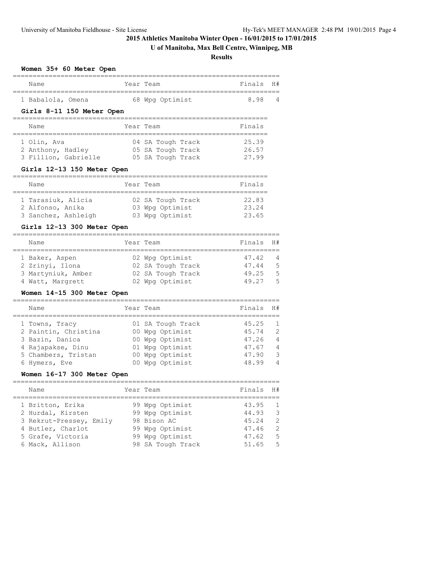# **U of Manitoba, Max Bell Centre, Winnipeg, MB**

**Results**

## **Women 35+ 60 Meter Open**

| Name              | Year Team |                 | Finals H# |   |
|-------------------|-----------|-----------------|-----------|---|
| 1 Babalola, Omena |           | 68 Wpg Optimist | 898       | 4 |

## **Girls 8-11 150 Meter Open**

| Name                 | Year Team         | Finals |
|----------------------|-------------------|--------|
|                      |                   |        |
| 1 Olin, Ava          | 04 SA Tough Track | 25.39  |
| 2 Anthony, Hadley    | 05 SA Tough Track | 26.57  |
| 3 Fillion, Gabrielle | 05 SA Tough Track | 27.99  |

# **Girls 12-13 150 Meter Open**

| Name                | Year Team         | Finals |
|---------------------|-------------------|--------|
| 1 Tarasiuk, Alicia  | 02 SA Tough Track | 22.83  |
| 2 Alfonso, Anika    | 03 Wpg Optimist   | 23.24  |
| 3 Sanchez, Ashleigh | 03 Wpg Optimist   | 23.65  |

# **Girls 12-13 300 Meter Open**

| Name               | Year Team         | Finals H# |     |
|--------------------|-------------------|-----------|-----|
| 1 Baker, Aspen     | 02 Wpg Optimist   | 47.42     | - 4 |
| 2 Zrinyi, Ilona    | 02 SA Tough Track | 47.44     | -5  |
| 3 Martyniuk, Amber | 02 SA Tough Track | 49.25     | -5  |
| 4 Watt, Margrett   | 02 Wpg Optimist   | 49.27     | - 5 |

# **Women 14-15 300 Meter Open**

| Name                 | Year Team         | Finals | H#             |
|----------------------|-------------------|--------|----------------|
| 1 Towns, Tracy       | 01 SA Tough Track | 45.25  | $\overline{1}$ |
| 2 Paintin, Christina | 00 Wpg Optimist   | 45.74  | $\mathcal{P}$  |
| 3 Bazin, Danica      | 00 Wpg Optimist   | 47.26  | $\overline{4}$ |
| 4 Rajapakse, Dinu    | 01 Wpg Optimist   | 47.67  | 4              |
| 5 Chambers, Tristan  | 00 Wpg Optimist   | 47.90  | 3              |
| 6 Hymers, Eve        | Wpg Optimist      | 48.99  | 4              |

# **Women 16-17 300 Meter Open**

| Name                    | Year Team         | Finals | H#             |
|-------------------------|-------------------|--------|----------------|
| 1 Britton, Erika        | 99 Wpg Optimist   | 43.95  | $\overline{1}$ |
| 2 Hurdal, Kirsten       | 99 Wpg Optimist   | 44.93  | $\mathcal{E}$  |
| 3 Rekrut-Pressey, Emily | 98 Bison AC       | 45.24  | $\mathcal{L}$  |
| 4 Butler, Charlot       | 99 Wpg Optimist   | 47.46  | $\overline{2}$ |
| 5 Grafe, Victoria       | 99 Wpg Optimist   | 47.62  | - 5            |
| 6 Mack, Allison         | 98 SA Tough Track | 51.65  | .5             |
|                         |                   |        |                |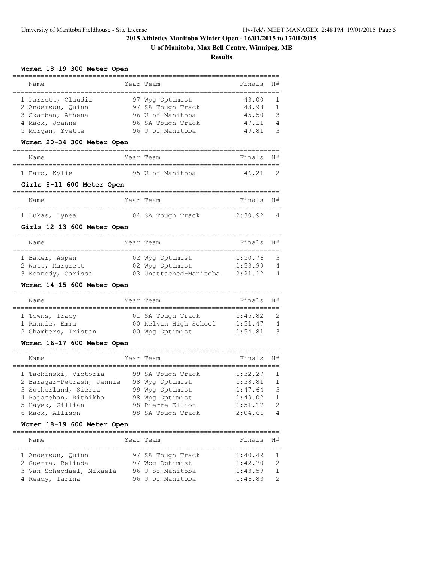# **U of Manitoba, Max Bell Centre, Winnipeg, MB**

**Results**

#### **Women 18-19 300 Meter Open**

| Name               | Year Team         | Finals H# |                          |
|--------------------|-------------------|-----------|--------------------------|
| 1 Parrott, Claudia | 97 Wpg Optimist   | 43.00     | $\overline{\phantom{0}}$ |
| 2 Anderson, Quinn  | 97 SA Tough Track | 43.98     | $\overline{1}$           |
| 3 Skarban, Athena  | 96 U of Manitoba  | 45.50     | - 3                      |
| 4 Mack, Joanne     | 96 SA Tough Track | 47.11     | $\overline{4}$           |
| 5 Morgan, Yvette   | 96 U of Manitoba  | 49.81     | ्र                       |
|                    |                   |           |                          |

#### **Women 20-34 300 Meter Open**

| Name          | Year Team |  |                  | Finals H# |  |
|---------------|-----------|--|------------------|-----------|--|
|               |           |  |                  |           |  |
| 1 Bard, Kylie |           |  | 95 U of Manitoba | 46.21 2   |  |

#### **Girls 8-11 600 Meter Open**

## =================================================================== Name **Year Team Finals** H# =================================================================== 1 Lukas, Lynea 04 SA Tough Track 2:30.92 4

## **Girls 12-13 600 Meter Open**

| Name               | Year Team              | Finals H# |                |
|--------------------|------------------------|-----------|----------------|
|                    |                        |           |                |
| 1 Baker, Aspen     | 02 Wpg Optimist        | 1:50.76   | - 3            |
| 2 Watt, Margrett   | 02 Wpg Optimist        | 1:53.99   | $\overline{4}$ |
| 3 Kennedy, Carissa | 03 Unattached-Manitoba | 2:21.12   | $\overline{4}$ |

## **Women 14-15 600 Meter Open**

| Name                                  | Year Team                                | Finals H#          |                    |
|---------------------------------------|------------------------------------------|--------------------|--------------------|
| 1 Towns, Tracy                        | 01 SA Tough Track                        | 1:45.82            | $\overline{2}$     |
| 1 Rannie, Emma<br>2 Chambers, Tristan | 00 Kelvin High School<br>00 Wpg Optimist | 1:51.47<br>1:54.81 | 4<br>$\mathcal{R}$ |
|                                       |                                          |                    |                    |

## **Women 16-17 600 Meter Open**

| Name                      | Year Team         | Finals  | H#                      |
|---------------------------|-------------------|---------|-------------------------|
| 1 Tachinski, Victoria     | 99 SA Tough Track | 1:32.27 | $\overline{1}$          |
| 2 Baragar-Petrash, Jennie | 98 Wpg Optimist   | 1:38.81 | $\overline{1}$          |
| 3 Sutherland, Sierra      | 99 Wpg Optimist   | 1:47.64 | $\overline{\mathbf{3}}$ |
| 4 Rajamohan, Rithikha     | 98 Wpg Optimist   | 1:49.02 | $\overline{1}$          |
| 5 Hayek, Gillian          | 98 Pierre Elliot  | 1:51.17 | $\overline{2}$          |
| 6 Mack, Allison           | 98 SA Tough Track | 2:04.66 | $\overline{4}$          |

#### **Women 18-19 600 Meter Open**

| Name |                                                                                       | Finals H#                                                                                 |                |
|------|---------------------------------------------------------------------------------------|-------------------------------------------------------------------------------------------|----------------|
|      |                                                                                       |                                                                                           |                |
|      |                                                                                       | 1:40.49                                                                                   | $\overline{1}$ |
|      |                                                                                       | 1:42.70                                                                                   | $\overline{2}$ |
|      |                                                                                       | 1:43.59                                                                                   | $\overline{1}$ |
|      |                                                                                       | 1:46.83                                                                                   | - 2            |
|      | 1 Anderson, Ouinn<br>2 Guerra, Belinda<br>3 Van Schepdael, Mikaela<br>4 Ready, Tarina | Year Team<br>97 SA Tough Track<br>97 Wpg Optimist<br>96 U of Manitoba<br>96 U of Manitoba |                |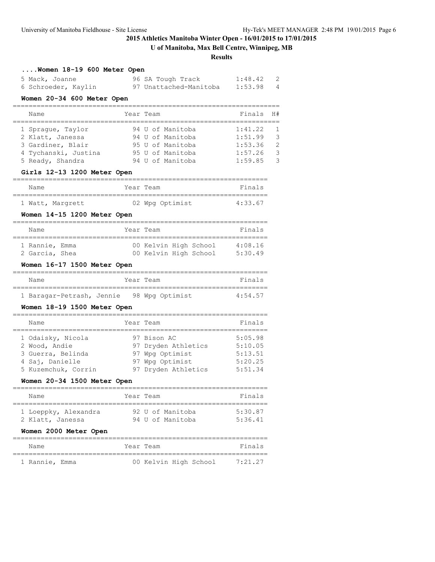# **U of Manitoba, Max Bell Centre, Winnipeg, MB**

#### **Results**

| Women 18-19 600 Meter Open |  |
|----------------------------|--|
|----------------------------|--|

| 5 Mack, Joanne      | 96 SA Tough Track      | 1:48.42 |  |
|---------------------|------------------------|---------|--|
| 6 Schroeder, Kaylin | 97 Unattached-Manitoba | 1:53.98 |  |

## **Women 20-34 600 Meter Open**

| Name                 | Year Team |  |                  | Finals H# |                |
|----------------------|-----------|--|------------------|-----------|----------------|
|                      |           |  |                  |           |                |
| 1 Spraque, Taylor    |           |  | 94 U of Manitoba | 1:41.22   | $\overline{1}$ |
| 2 Klatt, Janessa     |           |  | 94 U of Manitoba | 1:51.99   | 3              |
| 3 Gardiner, Blair    |           |  | 95 U of Manitoba | 1:53.36   | 2              |
| 4 Tychanski, Justina |           |  | 95 U of Manitoba | 1:57.26   | $\mathcal{R}$  |
| 5 Ready, Shandra     |           |  | 94 U of Manitoba | 1:59.85   | $\mathcal{R}$  |

## **Girls 12-13 1200 Meter Open**

| Name |                  | Year Team       | Finals  |
|------|------------------|-----------------|---------|
|      |                  |                 |         |
|      | 1 Watt, Margrett | 02 Wpg Optimist | 4:33.67 |

# **Women 14-15 1200 Meter Open**

| Name           | Year Team |                       |  | Finals  |  |
|----------------|-----------|-----------------------|--|---------|--|
| 1 Rannie, Emma |           | 00 Kelvin High School |  | 4:08.16 |  |
| 2 Garcia, Shea |           | 00 Kelvin High School |  | 5:30.49 |  |

# **Women 16-17 1500 Meter Open**

| Name                                      | Year Team |  | Finals  |  |
|-------------------------------------------|-----------|--|---------|--|
|                                           |           |  |         |  |
| 1 Baragar-Petrash, Jennie 98 Wpg Optimist |           |  | 4:54.57 |  |

#### **Women 18-19 1500 Meter Open**

| Name                                                                                              | Year Team                                                                                       | Finals                                              |
|---------------------------------------------------------------------------------------------------|-------------------------------------------------------------------------------------------------|-----------------------------------------------------|
| 1 Odaisky, Nicola<br>2 Wood, Andie<br>3 Guerra, Belinda<br>4 Saj, Danielle<br>5 Kuzemchuk, Corrin | 97 Bison AC<br>97 Dryden Athletics<br>97 Wpg Optimist<br>97 Wpg Optimist<br>97 Dryden Athletics | 5:05.98<br>5:10.05<br>5:13.51<br>5:20.25<br>5:51.34 |

## **Women 20-34 1500 Meter Open**

| Name                                     | Year Team                            | Finals             |
|------------------------------------------|--------------------------------------|--------------------|
| 1 Loeppky, Alexandra<br>2 Klatt, Janessa | 92 U of Manitoba<br>94 U of Manitoba | 5:30.87<br>5:36.41 |

#### **Women 2000 Meter Open**

| Name           | Year Team |                       |  | Finals  |
|----------------|-----------|-----------------------|--|---------|
|                |           |                       |  |         |
| 1 Rannie, Emma |           | 00 Kelvin High School |  | 7:21.27 |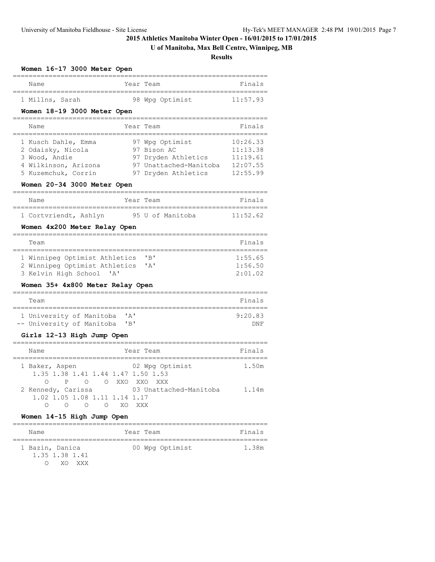# **U of Manitoba, Max Bell Centre, Winnipeg, MB**

**Results**

| Women 16-17 3000 Meter Open                                                                                                                             |                     |                                                                                                        |                                                          |
|---------------------------------------------------------------------------------------------------------------------------------------------------------|---------------------|--------------------------------------------------------------------------------------------------------|----------------------------------------------------------|
| Name                                                                                                                                                    | Year Team           |                                                                                                        | Finals                                                   |
| 1 Millns, Sarah                                                                                                                                         |                     | 98 Wpg Optimist                                                                                        | 11:57.93                                                 |
| Women 18-19 3000 Meter Open                                                                                                                             | $=$ $=$ $=$ $=$ $=$ |                                                                                                        |                                                          |
| Name                                                                                                                                                    | Year Team           |                                                                                                        | Finals                                                   |
| 1 Kusch Dahle, Emma<br>2 Odaisky, Nicola<br>3 Wood, Andie<br>4 Wilkinson, Arizona<br>5 Kuzemchuk, Corrin<br>Women 20-34 3000 Meter Open                 |                     | 97 Wpg Optimist<br>97 Bison AC<br>97 Dryden Athletics<br>97 Unattached-Manitoba<br>97 Dryden Athletics | 10:26.33<br>11:13.38<br>11:19.61<br>12:07.55<br>12:55.99 |
| Name                                                                                                                                                    | Year Team           |                                                                                                        | Finals                                                   |
| ========<br>1 Cortvriendt, Ashlyn                                                                                                                       |                     | ===============<br>95 U of Manitoba                                                                    | ----------<br>11:52.62                                   |
| Women 4x200 Meter Relay Open                                                                                                                            |                     |                                                                                                        |                                                          |
| Team<br>--------                                                                                                                                        |                     |                                                                                                        | Finals<br>========                                       |
| 1 Winnipeg Optimist Athletics<br>2 Winnipeg Optimist Athletics<br>3 Kelvin High School<br>$^{\prime}$ A $^{\prime}$<br>Women 35+ 4x800 Meter Relay Open |                     | "B"<br>'A'                                                                                             | 1:55.65<br>1:56.50<br>2:01.02                            |
| Team                                                                                                                                                    |                     |                                                                                                        | Finals                                                   |
| ============<br>1 University of Manitoba<br>-- University of Manitoba                                                                                   | 'A'<br>"B"          |                                                                                                        | 9:20.83<br>DNF                                           |
| Girls 12-13 High Jump Open                                                                                                                              |                     |                                                                                                        |                                                          |
| Name<br>===============================                                                                                                                 | Year Team           |                                                                                                        | Finals                                                   |
| 1 Baker, Aspen<br>1.35 1.38 1.41 1.44 1.47 1.50 1.53<br>O P O O XXO XXO XXX                                                                             |                     | 02 Wpg Optimist                                                                                        | 1.50m                                                    |
| 2 Kennedy, Carissa<br>1.02 1.05 1.08 1.11 1.14 1.17<br>$\circ$ $\circ$<br>$\overline{O}$                                                                | XO<br>XXX           | 03 Unattached-Manitoba                                                                                 | 1.14m                                                    |
| Women 14-15 High Jump Open                                                                                                                              |                     |                                                                                                        |                                                          |
| ----------------------------<br>Name                                                                                                                    | Year Team           |                                                                                                        | Finals                                                   |
| 1 Bazin, Danica<br>1.35 1.38 1.41<br>O<br>XO.<br>XXX                                                                                                    |                     | 00 Wpg Optimist                                                                                        | 1.38m                                                    |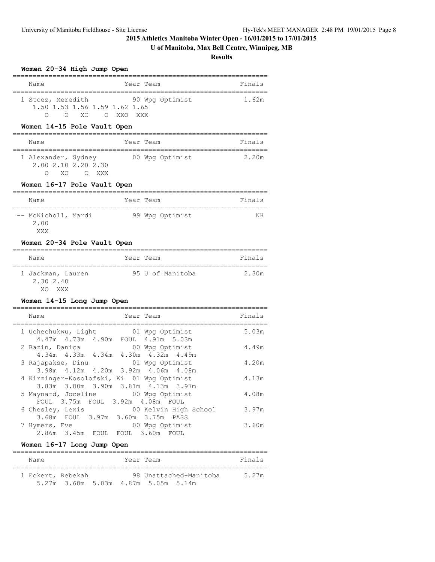# **U of Manitoba, Max Bell Centre, Winnipeg, MB**

**Results**

## **Women 20-34 High Jump Open**

| Name              |            |                               |         | Year Team       | Finals |
|-------------------|------------|-------------------------------|---------|-----------------|--------|
| 1 Stoez, Meredith |            |                               |         | 90 Wpg Optimist | 1.62m  |
|                   |            | 1.50 1.53 1.56 1.59 1.62 1.65 |         |                 |        |
|                   | $X \cup Y$ |                               | OXXOXXX |                 |        |

## **Women 14-15 Pole Vault Open**

| Name                |                             | Year Team       | Finals |
|---------------------|-----------------------------|-----------------|--------|
| 1 Alexander, Sydney | 2.00 2.10 2.20 2.30<br>XXX. | 00 Wpg Optimist | 2.20m  |

## **Women 16-17 Pole Vault Open**

| Name                               |  | Year Team       | Finals |  |  |  |  |  |  |
|------------------------------------|--|-----------------|--------|--|--|--|--|--|--|
| -- McNicholl, Mardi<br>2.00<br>XXX |  | 99 Wpg Optimist | ΝH     |  |  |  |  |  |  |

## **Women 20-34 Pole Vault Open**

| Name                                        | Year Team        | Finals |
|---------------------------------------------|------------------|--------|
| 1 Jackman, Lauren<br>2,30,2,40<br>XXX<br>YΛ | 95 U of Manitoba | 2.30m  |

## **Women 14-15 Long Jump Open**

| Year Team<br>Name                                                              | Finals |
|--------------------------------------------------------------------------------|--------|
| 1 Uchechukwu, Light 61 Wpg Optimist                                            | 5.03m  |
| 4.47m  4.73m  4.90m  FOUL  4.91m  5.03m<br>2 Bazin, Danica<br>00 Wpg Optimist  | 4.49m  |
| 4.34m  4.33m  4.34m  4.30m  4.32m  4.49m                                       |        |
| 01 Wpg Optimist<br>3 Rajapakse, Dinu<br>3.98m 4.12m 4.20m 3.92m 4.06m 4.08m    | 4.20m  |
| 4 Kirzinger-Kosolofski, Ki 01 Wpg Optimist                                     | 4.13m  |
| 3.83m 3.80m 3.90m 3.81m 4.13m 3.97m<br>5 Maynard, Joceline 60 Wpg Optimist     | 4.08m  |
| FOUL 3.75m FOUL 3.92m 4.08m FOUL                                               |        |
| 00 Kelvin High School<br>6 Chesley, Lexis<br>3.68m FOUL 3.97m 3.60m 3.75m PASS | 3.97m  |
| 00 Wpg Optimist<br>7 Hymers, Eve                                               | 3.60m  |
| 2.86m 3.45m FOUL FOUL 3.60m FOUL                                               |        |

# **Women 16-17 Long Jump Open**

| Name              |                                     | Year Team |                        | Finals |
|-------------------|-------------------------------------|-----------|------------------------|--------|
| 1 Eckert, Rebekah |                                     |           | 98 Unattached-Manitoba | 5 27m  |
|                   | 5.27m 3.68m 5.03m 4.87m 5.05m 5.14m |           |                        |        |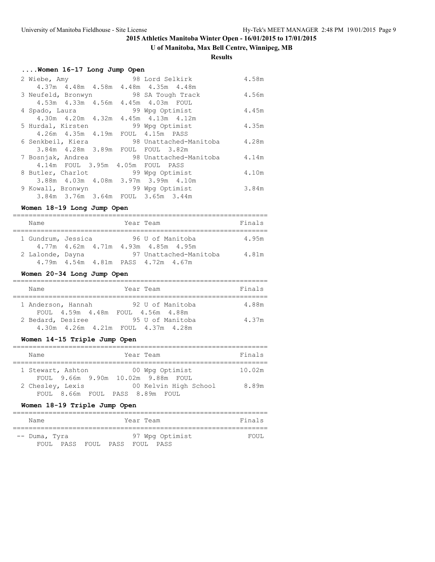# **U of Manitoba, Max Bell Centre, Winnipeg, MB**

#### **Results**

# **....Women 16-17 Long Jump Open**

| 2 Wiebe, Amy                              | and the 198 Lord Selkirk | 4.58m |
|-------------------------------------------|--------------------------|-------|
| 4.37m  4.48m  4.58m  4.48m  4.35m  4.48m  |                          |       |
| 3 Neufeld, Bronwyn 98 SA Tough Track      |                          | 4.56m |
| 4.53m  4.33m  4.56m  4.45m  4.03m  FOUL   |                          |       |
| 4 Spado, Laura                            | 99 Wpg Optimist          | 4.45m |
| 4.30m  4.20m  4.32m  4.45m  4.13m  4.12m  |                          |       |
| 5 Hurdal, Kirsten 59 Wpg Optimist         |                          | 4.35m |
| 4.26m  4.35m  4.19m  FOUL  4.15m  PASS    |                          |       |
| 6 Senkbeil, Kiera 68 Unattached-Manitoba  |                          | 4.28m |
| 3.84m 4.28m 3.89m FOUL FOUL 3.82m         |                          |       |
| 7 Bosnjak, Andrea 198 Unattached-Manitoba |                          | 4.14m |
| 4.14m FOUL 3.95m 4.05m FOUL PASS          |                          |       |
| 8 Butler, Charlot 99 Wpg Optimist         |                          | 4.10m |
| 3.88m 4.03m 4.08m 3.97m 3.99m 4.10m       |                          |       |
| 9 Kowall, Bronwyn 99 Wpq Optimist         |                          | 3.84m |
| 3.84m 3.76m 3.64m FOUL 3.65m 3.44m        |                          |       |

# **Women 18-19 Long Jump Open**

| Name               |  |  |  | Year Team                                | Finals |  |  |  |  |
|--------------------|--|--|--|------------------------------------------|--------|--|--|--|--|
|                    |  |  |  |                                          |        |  |  |  |  |
| 1 Gundrum, Jessica |  |  |  | 96 U of Manitoba                         | 4.95m  |  |  |  |  |
|                    |  |  |  | 4.77m  4.62m  4.71m  4.93m  4.85m  4.95m |        |  |  |  |  |
| 2 Lalonde, Dayna   |  |  |  | 97 Unattached-Manitoba                   | 4.81m  |  |  |  |  |
|                    |  |  |  | 4.79m  4.54m  4.81m  PASS  4.72m  4.67m  |        |  |  |  |  |

# **Women 20-34 Long Jump Open**

|  | Name |                                                              |  |  | Year Team |                  |  | Finals |  |
|--|------|--------------------------------------------------------------|--|--|-----------|------------------|--|--------|--|
|  |      | 1 Anderson, Hannah<br>FOUL 4.59m 4.48m FOUL 4.56m 4.88m      |  |  |           | 92 U of Manitoba |  | 4.88m  |  |
|  |      | 2 Bedard, Desiree<br>4.30m  4.26m  4.21m  FOUL  4.37m  4.28m |  |  |           | 95 U of Manitoba |  | 4.37m  |  |

# **Women 14-15 Triple Jump Open**

| Name              |  | Year Team |                                    | Finals |
|-------------------|--|-----------|------------------------------------|--------|
| 1 Stewart, Ashton |  |           | 00 Wpg Optimist                    | 10.02m |
|                   |  |           | FOUL 9.66m 9.90m 10.02m 9.88m FOUL |        |
| 2 Chesley, Lexis  |  |           | 00 Kelvin High School              | 8.89m  |
|                   |  |           | FOUL 8.66m FOUL PASS 8.89m FOUL    |        |

# **Women 18-19 Triple Jump Open**

| Name          |      |       |      | Year Team |                 | Finals |
|---------------|------|-------|------|-----------|-----------------|--------|
| -- Duma, Tyra |      |       |      |           | 97 Wpg Optimist | FOUL.  |
| FOIIL.        | PASS | FOUL. | PASS | FOIIL.    | PASS            |        |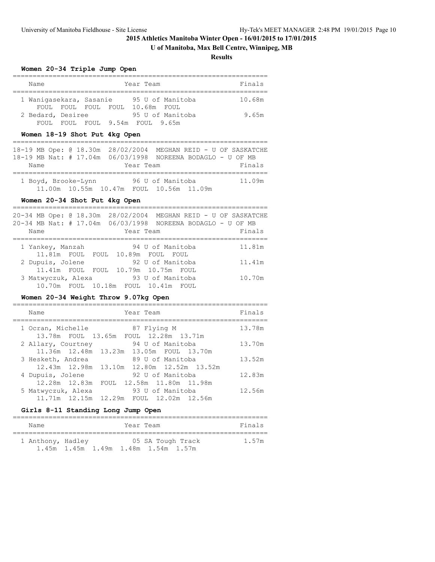# **U of Manitoba, Max Bell Centre, Winnipeg, MB**

**Results**

## **Women 20-34 Triple Jump Open**

| Name                    |  |  |  | Year Team                       | Finals |  |  |  |  |
|-------------------------|--|--|--|---------------------------------|--------|--|--|--|--|
|                         |  |  |  |                                 |        |  |  |  |  |
| 1 Waniqasekara, Sasanie |  |  |  | 95 U of Manitoba                | 10.68m |  |  |  |  |
|                         |  |  |  | FOUL FOUL FOUL FOUL 10.68m FOUL |        |  |  |  |  |
| 2 Bedard, Desiree       |  |  |  | 95 U of Manitoba                | 9.65m  |  |  |  |  |
| FOUL.                   |  |  |  | FOUL FOUL 9.54m FOUL 9.65m      |        |  |  |  |  |

## **Women 18-19 Shot Put 4kg Open**

|      |                     |           |                                         |                                                             | 18-19 MB Ope: 0 18.30m 28/02/2004 MEGHAN REID - U OF SASKATCHE |
|------|---------------------|-----------|-----------------------------------------|-------------------------------------------------------------|----------------------------------------------------------------|
|      |                     |           |                                         | 18-19 MB Nat: # 17.04m 06/03/1998 NOREENA BODAGLO - U OF MB |                                                                |
| Name |                     | Year Team |                                         |                                                             | Finals                                                         |
|      |                     |           |                                         |                                                             |                                                                |
|      | 1 Boyd, Brooke-Lynn |           | 96 U of Manitoba                        |                                                             | 11.09m                                                         |
|      |                     |           | 11.00m 10.55m 10.47m FOUL 10.56m 11.09m |                                                             |                                                                |

#### **Women 20-34 Shot Put 4kg Open**

| Name |                    |  | 20-34 MB Nat: # 17.04m 06/03/1998 NOREENA BODAGLO - U OF MB<br>Year Team |                  |  |  | 20-34 MB Ope: @ 18.30m 28/02/2004 MEGHAN REID - U OF SASKATCHE<br>Finals |
|------|--------------------|--|--------------------------------------------------------------------------|------------------|--|--|--------------------------------------------------------------------------|
|      |                    |  |                                                                          |                  |  |  |                                                                          |
|      | 1 Yankey, Manzah   |  |                                                                          | 94 U of Manitoba |  |  | 11.81m                                                                   |
|      |                    |  | 11.81m FOUL FOUL 10.89m FOUL FOUL                                        |                  |  |  |                                                                          |
|      | 2 Dupuis, Jolene   |  |                                                                          | 92 U of Manitoba |  |  | 11.41m                                                                   |
|      |                    |  | 11.41m FOUL FOUL 10.79m 10.75m FOUL                                      |                  |  |  |                                                                          |
|      | 3 Matwyczuk, Alexa |  |                                                                          | 93 U of Manitoba |  |  | 10.70m                                                                   |
|      |                    |  | 10.70m FOUL 10.18m FOUL 10.41m FOUL                                      |                  |  |  |                                                                          |

## **Women 20-34 Weight Throw 9.07kg Open**

| Name                                                           | Year Team                                     | Finals |
|----------------------------------------------------------------|-----------------------------------------------|--------|
| 1 Ocran, Michelle<br>13.78m FOUL 13.65m FOUL 12.28m 13.71m     | 87 Flying M                                   | 13.78m |
| 2 Allary, Courtney<br>11.36m 12.48m 13.23m 13.05m FOUL 13.70m  | 94 U of Manitoba                              | 13.70m |
| 3 Hesketh, Andrea<br>12.43m 12.98m 13.10m 12.80m 12.52m 13.52m | 89 U of Manitoba                              | 13.52m |
| 4 Dupuis, Jolene<br>12.28m  12.83m                             | 92 U of Manitoba<br>FOUL 12.58m 11.80m 11.98m | 12.83m |
| 5 Matwyczuk, Alexa<br>11.71m 12.15m 12.29m FOUL 12.02m 12.56m  | 93 U of Manitoba                              | 12.56m |

# **Girls 8-11 Standing Long Jump Open**

| Name              | Year Team                                                | Finals |
|-------------------|----------------------------------------------------------|--------|
| 1 Anthony, Hadley | 05 SA Tough Track<br>1.45m 1.45m 1.49m 1.48m 1.54m 1.57m | 1.57m  |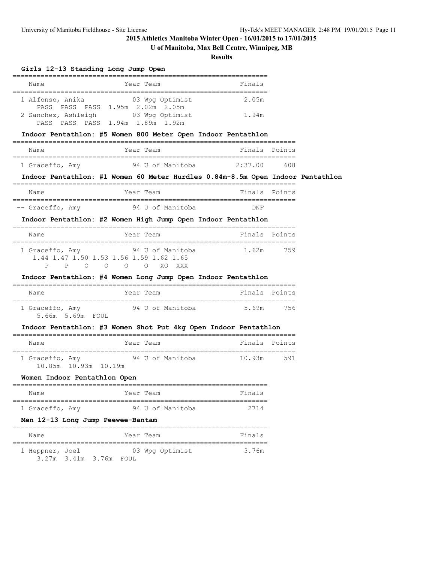3.27m 3.41m 3.76m FOUL

# **2015 Athletics Manitoba Winter Open - 16/01/2015 to 17/01/2015**

# **U of Manitoba, Max Bell Centre, Winnipeg, MB**

# **Results**

# **Girls 12-13 Standing Long Jump Open**

| GIFIS IZ-IS Standing Long Jump Open         |                                                                                |                        |        |  |
|---------------------------------------------|--------------------------------------------------------------------------------|------------------------|--------|--|
| Name                                        | Year Team                                                                      | Finals                 |        |  |
| 1 Alfonso, Anika                            | 03 Wpg Optimist<br>PASS PASS PASS 1.95m 2.02m 2.05m                            | 2.05m                  |        |  |
|                                             | 2 Sanchez, Ashleigh 63 Wpg Optimist<br>PASS PASS PASS 1.94m 1.89m 1.92m        | 1.94m                  |        |  |
|                                             | Indoor Pentathlon: #5 Women 800 Meter Open Indoor Pentathlon                   |                        |        |  |
| Name                                        | Year Team                                                                      | Finals Points          |        |  |
| 1 Graceffo, Amy                             | 94 U of Manitoba 2:37.00                                                       |                        | 608    |  |
|                                             | Indoor Pentathlon: #1 Women 60 Meter Hurdles 0.84m-8.5m Open Indoor Pentathlon |                        |        |  |
| Name                                        | Year Team                                                                      | Finals Points          |        |  |
| -- Graceffo, Amy                            | 94 U of Manitoba                                                               | DNF                    |        |  |
|                                             | Indoor Pentathlon: #2 Women High Jump Open Indoor Pentathlon                   |                        |        |  |
| Name                                        | Year Team                                                                      | Finals Points          |        |  |
| 1 Graceffo, Amy<br>P<br>P<br>$\overline{O}$ | 94 U of Manitoba<br>1.44 1.47 1.50 1.53 1.56 1.59 1.62 1.65<br>O O O XO XXX    | 1.62m                  | 759    |  |
|                                             | Indoor Pentathlon: #4 Women Long Jump Open Indoor Pentathlon                   |                        |        |  |
| Name                                        | Year Team                                                                      | Finals Points          |        |  |
| 1 Graceffo, Amy<br>5.66m 5.69m FOUL         | 94 U of Manitoba 5.69m                                                         |                        | 756    |  |
|                                             | Indoor Pentathlon: #3 Women Shot Put 4kg Open Indoor Pentathlon                |                        |        |  |
| Name                                        | Year Team                                                                      | Finals                 | Points |  |
| 10.85m 10.93m 10.19m                        | 1 Graceffo, Amy 54 U of Manitoba 10.93m                                        |                        | 591    |  |
| Women Indoor Pentathlon Open                |                                                                                |                        |        |  |
| Name                                        | Year Team                                                                      | Finals                 |        |  |
| 1 Graceffo, Amy                             | 94 U of Manitoba                                                               | 2714                   |        |  |
| Men 12-13 Long Jump Peewee-Bantam           |                                                                                | ====================== |        |  |
| Name                                        | Year Team                                                                      | Finals                 |        |  |
| 1 Heppner, Joel                             | 03 Wpg Optimist                                                                | 3.76m                  |        |  |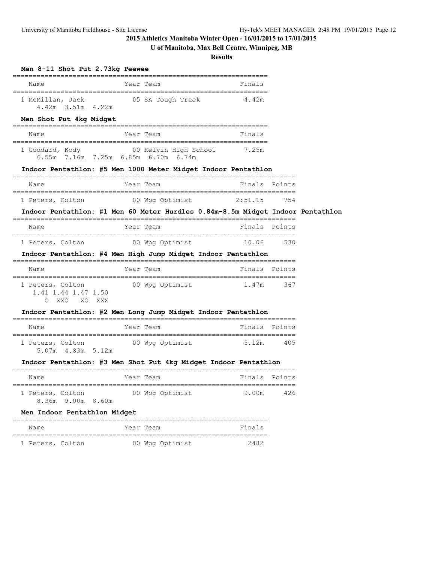# **U of Manitoba, Max Bell Centre, Winnipeg, MB**

**Results**

| Men 8-11 Shot Put 2.73kg Peewee                                                  |                               |                              |                                   |            |  |
|----------------------------------------------------------------------------------|-------------------------------|------------------------------|-----------------------------------|------------|--|
| Name                                                                             | Year Team<br>================ |                              | Finals<br>_______________________ |            |  |
| 1 McMillan, Jack<br>$4.42m$ $3.51m$<br>4.22m                                     |                               | 05 SA Tough Track            | 4.42m                             |            |  |
| Men Shot Put 4kg Midget                                                          |                               |                              |                                   |            |  |
| Name                                                                             | Year Team                     |                              | Finals                            |            |  |
| 1 Goddard, Kody<br>6.55m  7.16m  7.25m  6.85m  6.70m  6.74m                      |                               | 00 Kelvin High School        | 7.25m                             |            |  |
| Indoor Pentathlon: #5 Men 1000 Meter Midget Indoor Pentathlon                    |                               |                              |                                   |            |  |
| Name                                                                             | Year Team                     |                              | Finals                            | Points     |  |
| 1 Peters, Colton                                                                 |                               | 00 Wpg Optimist              | 2:51.15                           | 754        |  |
| Indoor Pentathlon: #1 Men 60 Meter Hurdles 0.84m-8.5m Midget Indoor Pentathlon   |                               |                              |                                   |            |  |
| Name                                                                             | Year Team                     |                              | Finals                            | Points     |  |
| 1 Peters, Colton<br>Indoor Pentathlon: #4 Men High Jump Midget Indoor Pentathlon |                               | 00 Wpg Optimist              | 10.06                             | 530        |  |
| Name                                                                             | Year Team                     |                              | Finals Points                     | __________ |  |
| 1 Peters, Colton<br>1.41 1.44 1.47 1.50<br>XXO<br>XO<br>XXX<br>$\bigcirc$        |                               | 00 Wpg Optimist              | 1.47m                             | 367        |  |
| Indoor Pentathlon: #2 Men Long Jump Midget Indoor Pentathlon                     |                               | ---------------------------- |                                   |            |  |
| ==============================<br>Name                                           | Year Team                     |                              | Finals                            | Points     |  |
| 1 Peters, Colton<br>5.07m  4.83m  5.12m                                          |                               | 00 Wpg Optimist              | 5.12m                             | 405        |  |
| Indoor Pentathlon: #3 Men Shot Put 4kg Midget Indoor Pentathlon                  |                               |                              |                                   |            |  |
| Name                                                                             | Year Team                     |                              | Finals                            | Points     |  |
| 1 Peters, Colton<br>8.36m 9.00m 8.60m                                            |                               | 00 Wpg Optimist              | 9.00m                             | 426        |  |
| Men Indoor Pentathlon Midget                                                     |                               |                              |                                   |            |  |
| Name                                                                             | Year Team                     |                              | Finals                            |            |  |
| 1 Peters, Colton                                                                 |                               | 00 Wpg Optimist              | 2482                              |            |  |

1 Peters, Colton 00 Wpg Optimist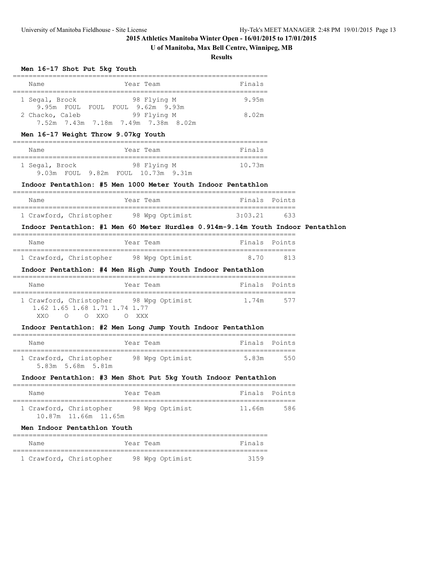# **U of Manitoba, Max Bell Centre, Winnipeg, MB**

**Results**

#### **Men 16-17 Shot Put 5kg Youth**

| Name                         | Year Team                                          | Finals |
|------------------------------|----------------------------------------------------|--------|
| 1 Segal, Brock<br>9.95m FOUL | 98 Flying M<br>FOUL FOUL 9.62m 9.93m               | 9.95m  |
| 2 Chacko, Caleb              | 99 Flying M<br>7.52m 7.43m 7.18m 7.49m 7.38m 8.02m | 8.02m  |

#### **Men 16-17 Weight Throw 9.07kg Youth**

| Name           |  | Year Team                          | Finals |
|----------------|--|------------------------------------|--------|
| 1 Segal, Brock |  | 98 Flying M                        | 10.73m |
|                |  | 9.03m FOUL 9.82m FOUL 10.73m 9.31m |        |

#### **Indoor Pentathlon: #5 Men 1000 Meter Youth Indoor Pentathlon**

| Name |                         | Year Team |                 |         | Finals Points |
|------|-------------------------|-----------|-----------------|---------|---------------|
|      |                         |           |                 |         |               |
|      | 1 Crawford, Christopher |           | 98 Wpg Optimist | 3:03.21 | 633           |

## **Indoor Pentathlon: #1 Men 60 Meter Hurdles 0.914m-9.14m Youth Indoor Pentathlon**

| Name |                         | Year Team |                 | Finals Points |     |
|------|-------------------------|-----------|-----------------|---------------|-----|
|      | 1 Crawford, Christopher |           | 98 Wpg Optimist | 870           | 813 |

## **Indoor Pentathlon: #4 Men High Jump Youth Indoor Pentathlon**

|  | Name   |          |                               |  |  | Year Team |                                         |  | Finals Points |     |
|--|--------|----------|-------------------------------|--|--|-----------|-----------------------------------------|--|---------------|-----|
|  |        |          |                               |  |  |           |                                         |  |               |     |
|  |        |          |                               |  |  |           | 1 Crawford, Christopher 98 Wpg Optimist |  | 1.74m         | 577 |
|  |        |          | 1.62 1.65 1.68 1.71 1.74 1.77 |  |  |           |                                         |  |               |     |
|  | XXV XX | $\left($ | O XXO                         |  |  | O XXX     |                                         |  |               |     |

#### **Indoor Pentathlon: #2 Men Long Jump Youth Indoor Pentathlon**

| Name                                         | Year Team       | Finals Points |     |
|----------------------------------------------|-----------------|---------------|-----|
| 1 Crawford, Christopher<br>5.83m 5.68m 5.81m | 98 Wpg Optimist | 5.83m         | 550 |

#### **Indoor Pentathlon: #3 Men Shot Put 5kg Youth Indoor Pentathlon**

| Name |                         | Year Team       | Finals Points |     |
|------|-------------------------|-----------------|---------------|-----|
|      | 1 Crawford, Christopher | 98 Wpg Optimist | 11.66m        | 586 |
|      | 10.87m 11.66m 11.65m    |                 |               |     |

#### **Men Indoor Pentathlon Youth**

| Name |                         | Year Team       | Finals |
|------|-------------------------|-----------------|--------|
|      |                         |                 |        |
|      | 1 Crawford, Christopher | 98 Wpg Optimist | 3159   |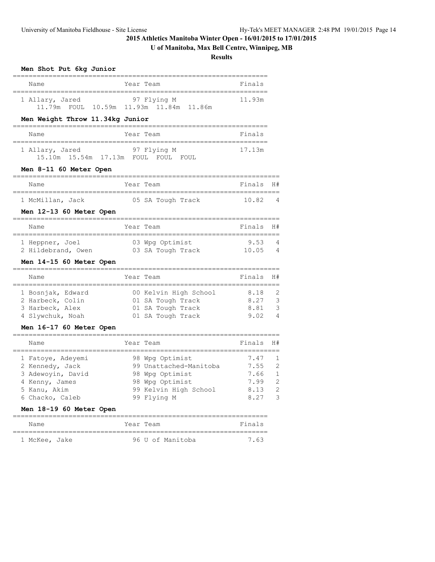# **U of Manitoba, Max Bell Centre, Winnipeg, MB**

**Results**

| Name            | Year Team                               | Finals |
|-----------------|-----------------------------------------|--------|
| 1 Allary, Jared | 97 Flying M                             | 11.93m |
|                 | 11.79m FOUL 10.59m 11.93m 11.84m 11.86m |        |

**Men Shot Put 6kg Junior**

# **Men Weight Throw 11.34kg Junior**

| Name            | Year Team       | Finals |
|-----------------|-----------------|--------|
| 1 Allary, Jared | 97 Flying M     | 17.13m |
|                 | FOIIT.<br>FOUL. |        |

## **Men 8-11 60 Meter Open**

| Name             | Year Team |                   |  | Finals H# |   |
|------------------|-----------|-------------------|--|-----------|---|
|                  |           |                   |  |           |   |
| 1 McMillan, Jack |           | 05 SA Tough Track |  | 10.82     | 4 |

### **Men 12-13 60 Meter Open**

| Name               | Year Team |                   | Finals H# |                |
|--------------------|-----------|-------------------|-----------|----------------|
| 1 Heppner, Joel    |           | 03 Wpg Optimist   | 9.53      | $\overline{4}$ |
| 2 Hildebrand, Owen |           | 03 SA Tough Track | 10.05     | 4              |

#### **Men 14-15 60 Meter Open**

| Name              |  | Year Team             | Finals H# |                |
|-------------------|--|-----------------------|-----------|----------------|
|                   |  |                       |           |                |
| 1 Bosnjak, Edward |  | 00 Kelvin High School | 8.18      | $\overline{2}$ |
| 2 Harbeck, Colin  |  | 01 SA Tough Track     | 8.27      | - 3            |
| 3 Harbeck, Alex   |  | 01 SA Tough Track     | 8.81      | - 3            |
| 4 Slywchuk, Noah  |  | 01 SA Tough Track     | 9 02      | $\overline{4}$ |

## **Men 16-17 60 Meter Open**

| Finals<br>Year Team<br>Name<br>98 Wpg Optimist<br>1 Fatoye, Adeyemi<br>7.47<br>99 Unattached-Manitoba<br>2 Kennedy, Jack<br>7.55<br>3 Adewoyin, David<br>7.66<br>98 Wpg Optimist<br>98 Wpg Optimist<br>7.99<br>4 Kenny, James |              |                       |      |                                                                               |
|-------------------------------------------------------------------------------------------------------------------------------------------------------------------------------------------------------------------------------|--------------|-----------------------|------|-------------------------------------------------------------------------------|
|                                                                                                                                                                                                                               |              |                       |      | H#                                                                            |
| 99 Flying M<br>8 2 7<br>6 Chacko, Caleb                                                                                                                                                                                       | 5 Kanu, Akim | 99 Kelvin High School | 8.13 | -1<br>-2<br>$\overline{1}$<br>$\mathcal{P}$<br>$\mathcal{L}$<br>$\mathcal{L}$ |

## **Men 18-19 60 Meter Open**

| Name          | Year Team |  |                  | Finals |
|---------------|-----------|--|------------------|--------|
| 1 McKee, Jake |           |  | 96 U of Manitoba | 763    |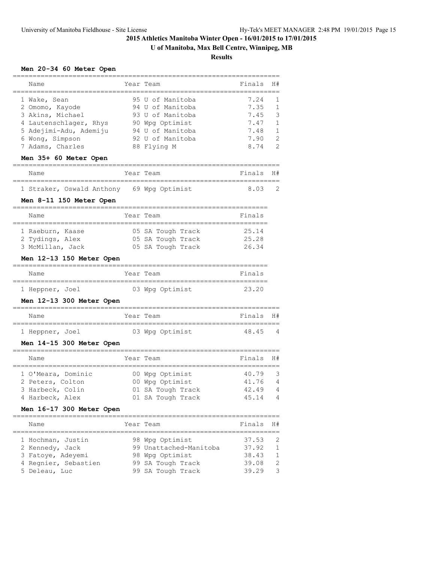**U of Manitoba, Max Bell Centre, Winnipeg, MB**

**Results**

# **Men 20-34 60 Meter Open**

| Name                                                          | Year Team                                | Finals       | H#     |
|---------------------------------------------------------------|------------------------------------------|--------------|--------|
| 1 Wake, Sean<br>2 Omomo, Kayode                               | 95 U of Manitoba<br>94 U of Manitoba     | 7.24<br>7.35 | 1<br>1 |
| 3 Akins, Michael                                              | 93 U of Manitoba                         | 7.45         | 3      |
| 4 Lautenschlager, Rhys                                        | 90 Wpg Optimist                          | 7.47         | 1      |
| 5 Adejimi-Adu, Ademiju                                        | 94 U of Manitoba                         | 7.48         | 1      |
| 6 Wong, Simpson                                               | 92 U of Manitoba                         | 7.90         | 2      |
| 7 Adams, Charles                                              | 88 Flying M                              | 8.74         | 2      |
| Men 35+ 60 Meter Open<br>---------------------------------    | =========================                |              |        |
| Name                                                          | Year Team                                | Finals       | H#     |
| 1 Straker, Oswald Anthony 69 Wpg Optimist                     |                                          | 8.03         | 2      |
| Men 8-11 150 Meter Open<br>=============================      | ============================             |              |        |
| Name                                                          | Year Team                                | Finals       |        |
| 1 Raeburn, Kaase                                              | 05 SA Tough Track                        | 25.14        |        |
| 2 Tydings, Alex                                               | 05 SA Tough Track                        | 25.28        |        |
| 3 McMillan, Jack                                              | 05 SA Tough Track                        | 26.34        |        |
| Men 12-13 150 Meter Open                                      |                                          |              |        |
| Name                                                          | Year Team                                | Finals       |        |
| 1 Heppner, Joel                                               | 03 Wpg Optimist                          | 23.20        |        |
| Men 12-13 300 Meter Open                                      |                                          |              |        |
| Name<br>-------------------------------------                 | Year Team<br>,,,,,,,,,,,,,,,,,,,,,,,,,,, | Finals       | H#     |
| 1 Heppner, Joel                                               | 03 Wpg Optimist                          | 48.45        | 4      |
| Men 14-15 300 Meter Open                                      | ________________________                 |              |        |
| Name                                                          | Year Team                                | Finals       | H#     |
| -==================================<br>1 O'Meara, Dominic     | =====================<br>00 Wpg Optimist | 40.79        | 3      |
| 2 Peters, Colton                                              | 00 Wpg Optimist                          | 41.76        | 4      |
| 3 Harbeck, Colin                                              | 01 SA Tough Track                        | 42.49        | 4      |
| 4 Harbeck, Alex                                               | 01 SA Tough Track                        | 45.14        | 4      |
| Men 16-17 300 Meter Open<br>================================= | ===============================          |              |        |
| Name                                                          | Year Team                                | Finals       | H#     |
| 1 Hochman, Justin                                             | 98 Wpq Optimist                          | 37.53        | 2      |
| 2 Kennedy, Jack                                               | 99 Unattached-Manitoba                   | 37.92        | 1      |
| 3 Fatoye, Adeyemi                                             | 98 Wpg Optimist                          | 38.43        | 1      |
| 4 Regnier, Sebastien                                          | 99 SA Tough Track                        | 39.08        | 2      |
| 5 Deleau, Luc                                                 | 99 SA Tough Track                        | 39.29        | 3      |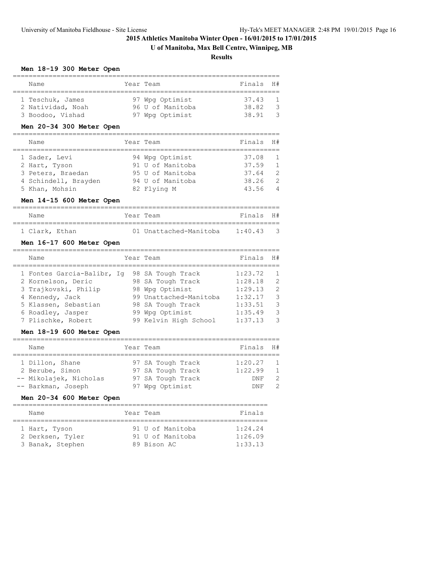# **U of Manitoba, Max Bell Centre, Winnipeg, MB**

**Results**

## **Men 18-19 300 Meter Open**

| Name              | Year Team        | Finals H# |                |
|-------------------|------------------|-----------|----------------|
|                   |                  |           |                |
| 1 Teschuk, James  | 97 Wpg Optimist  | 37.43     | $\overline{1}$ |
| 2 Natividad, Noah | 96 U of Manitoba | 38.82     | - 3            |
| 3 Boodoo, Vishad  | 97 Wpg Optimist  | 38.91     | $\mathcal{R}$  |

## **Men 20-34 300 Meter Open**

| Name                                                | Year Team                                               | Finals                  | <b>H#</b>                               |
|-----------------------------------------------------|---------------------------------------------------------|-------------------------|-----------------------------------------|
| 1 Sader, Levi<br>2 Hart, Tyson<br>3 Peters, Braedan | 94 Wpg Optimist<br>91 U of Manitoba<br>95 U of Manitoba | 37.08<br>37.59<br>37.64 | $\overline{1}$<br>$\overline{1}$<br>- 2 |
| 4 Schindell, Brayden<br>5 Khan, Mohsin              | 94 U of Manitoba<br>82 Flying M                         | 38.26<br>43.56          | - 2<br>4                                |

#### **Men 14-15 600 Meter Open**

| Name           | Year Team |                        | Finals H#   |         |
|----------------|-----------|------------------------|-------------|---------|
| 1 Clark, Ethan |           | 01 Unattached-Manitoba | 1 • 40   43 | $\prec$ |

# **Men 16-17 600 Meter Open**

| Name                       | Year Team              | Finals  | H#             |
|----------------------------|------------------------|---------|----------------|
| 1 Fontes Garcia-Balibr, Iq | 98 SA Tough Track      | 1:23.72 | $\overline{1}$ |
| 2 Kornelson, Deric         | 98 SA Tough Track      | 1:28.18 | $\mathcal{L}$  |
| 3 Trajkovski, Philip       | 98 Wpg Optimist        | 1:29.13 | $\overline{2}$ |
| 4 Kennedy, Jack            | 99 Unattached-Manitoba | 1:32.17 | 3              |
| 5 Klassen, Sebastian       | 98 SA Tough Track      | 1:33.51 | 3              |
| 6 Roadley, Jasper          | 99 Wpg Optimist        | 1:35.49 | 3              |
| 7 Plischke, Robert         | 99 Kelvin High School  | 1:37.13 | 3              |

# **Men 18-19 600 Meter Open**

| Name                   | Year Team         | Finals H#  |                |
|------------------------|-------------------|------------|----------------|
|                        |                   |            |                |
| 1 Dillon, Shane        | 97 SA Tough Track | 1:20.27    | $\overline{1}$ |
| 2 Berube, Simon        | 97 SA Tough Track | 1:22.99    | $\overline{1}$ |
| -- Mikolajek, Nicholas | 97 SA Tough Track | <b>DNF</b> | - 2            |
| -- Barkman, Joseph     | 97 Wpg Optimist   | <b>DNF</b> | 2              |

# **Men 20-34 600 Meter Open**

|  | Name                                                  |  | Year Team                                           | Finals                        |  |  |  |
|--|-------------------------------------------------------|--|-----------------------------------------------------|-------------------------------|--|--|--|
|  | 1 Hart, Tyson<br>2 Derksen, Tyler<br>3 Banak, Stephen |  | 91 U of Manitoba<br>91 U of Manitoba<br>89 Bison AC | 1:24.24<br>1:26.09<br>1:33.13 |  |  |  |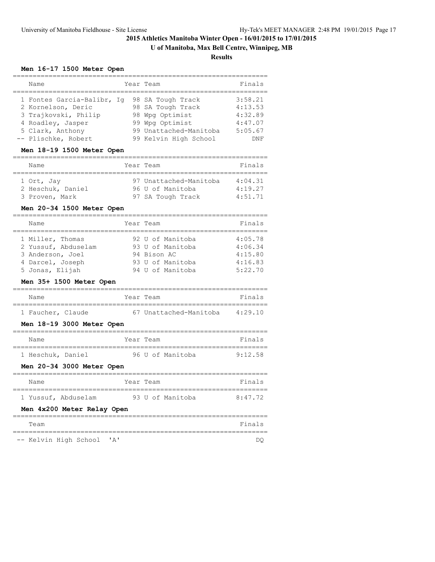# **U of Manitoba, Max Bell Centre, Winnipeg, MB**

**Results**

### **Men 16-17 1500 Meter Open**

| Year Team<br>Name<br>1 Fontes Garcia-Balibr, Iq<br>98 SA Tough Track<br>2 Kornelson, Deric<br>98 SA Tough Track<br>3 Trajkovski, Philip<br>98 Wpg Optimist<br>99 Wpg Optimist<br>4 Roadley, Jasper |  |  |  |  |                                                                   |
|----------------------------------------------------------------------------------------------------------------------------------------------------------------------------------------------------|--|--|--|--|-------------------------------------------------------------------|
|                                                                                                                                                                                                    |  |  |  |  | Finals                                                            |
| 99 Unattached-Manitoba<br>5 Clark, Anthony<br>-- Plischke, Robert<br>99 Kelvin High School                                                                                                         |  |  |  |  | 3:58.21<br>4:13.53<br>4:32.89<br>4:47.07<br>5:05.67<br><b>DNF</b> |

## **Men 18-19 1500 Meter Open**

| Name                                              | Year Team                                                       | Finals                        |
|---------------------------------------------------|-----------------------------------------------------------------|-------------------------------|
| 1 Ort, Jay<br>2 Heschuk, Daniel<br>3 Proven, Mark | 97 Unattached-Manitoba<br>96 U of Manitoba<br>97 SA Tough Track | 4:04.31<br>4:19.27<br>4:51.71 |

#### **Men 20-34 1500 Meter Open**

| Name                | Year Team        | Finals  |
|---------------------|------------------|---------|
|                     |                  |         |
| 1 Miller, Thomas    | 92 U of Manitoba | 4:05.78 |
| 2 Yussuf, Abduselam | 93 U of Manitoba | 4:06.34 |
| 3 Anderson, Joel    | 94 Bison AC      | 4:15.80 |
| 4 Darcel, Joseph    | 93 U of Manitoba | 4:16.83 |
| 5 Jonas, Elijah     | 94 U of Manitoba | 5:22.70 |

## **Men 35+ 1500 Meter Open**

| Name              | Year Team              | Finals  |
|-------------------|------------------------|---------|
|                   |                        |         |
| 1 Faucher, Claude | 67 Unattached-Manitoba | 4:29.10 |

#### **Men 18-19 3000 Meter Open**

| Name              | Year Team |  |                  | Finals  |
|-------------------|-----------|--|------------------|---------|
| 1 Heschuk, Daniel |           |  | 96 U of Manitoba | 9:12.58 |

# **Men 20-34 3000 Meter Open**

| Name                       | Year Team        | Finals  |
|----------------------------|------------------|---------|
| 1 Yussuf, Abduselam        | 93 U of Manitoba | 8:47.72 |
| Men 4x200 Meter Relay Open |                  |         |
| Team                       |                  | Finals  |

-- Kelvin High School 'A' DQ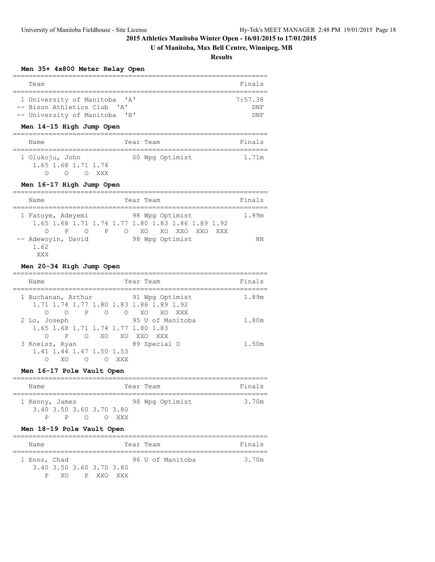# **U of Manitoba, Max Bell Centre, Winnipeg, MB**

**Results**

## **Men 35+ 4x800 Meter Relay Open**

| Team                                          | Finals  |
|-----------------------------------------------|---------|
|                                               |         |
| 1 University of Manitoba<br>$\mathsf{A}$      | 7:57.38 |
| -- Bison Athletics Club 'A'                   | DNF     |
| -- University of Manitoba<br>$'$ $\mathsf{B}$ |         |

## **Men 14-15 High Jump Open**

| Name                | Year Team       | Finals |
|---------------------|-----------------|--------|
|                     |                 |        |
| 1 Olukoju, John     | 00 Wpg Optimist | 1.71m  |
| 1.65 1.68 1.71 1.74 |                 |        |
| <b>XXX</b>          |                 |        |

# **Men 16-17 High Jump Open**

| Name               | Year Team                                          | Finals |
|--------------------|----------------------------------------------------|--------|
|                    |                                                    |        |
| 1 Fatoye, Adeyemi  | 98 Wpg Optimist                                    | 1.89m  |
|                    | 1.65 1.68 1.71 1.74 1.77 1.80 1.83 1.86 1.89 1.92  |        |
| ∩<br>P             | $\overline{P}$<br>$\Omega$<br>XO XO XXO XXO<br>XXX |        |
| -- Adewoyin, David | 98 Wpg Optimist                                    | ΝH     |
| 1.62               |                                                    |        |
| XXX                |                                                    |        |

## **Men 20-34 High Jump Open**

| Name                                                         |             | Year Team                                                                | Finals |
|--------------------------------------------------------------|-------------|--------------------------------------------------------------------------|--------|
| 1 Buchanan, Arthur<br>$\mathsf{P}$<br>∩<br>$\circ$           | O O XO      | 91 Wpg Optimist<br>1.71 1.74 1.77 1.80 1.83 1.86 1.89 1.92<br>XO.<br>XXX | 1.89m  |
| 2 Lo, Joseph<br>1.65 1.68 1.71 1.74 1.77 1.80 1.83<br>P<br>∩ | O XO XO XXO | 95 U of Manitoba<br>XXX                                                  | 1.80m  |
| 3 Kneisz, Ryan<br>1.41 1.44 1.47 1.50 1.53<br>XO.<br>∩       | xxx         | 89 Special O                                                             | 1.50m  |

# **Men 16-17 Pole Vault Open**

| Name                     |              |           |  |       |  | Year Team |                 |  | Finals |
|--------------------------|--------------|-----------|--|-------|--|-----------|-----------------|--|--------|
|                          |              |           |  |       |  |           |                 |  |        |
| 1 Kenny, James           |              |           |  |       |  |           | 98 Wpg Optimist |  | 3.70m  |
| 3.40 3.50 3.60 3.70 3.80 |              |           |  |       |  |           |                 |  |        |
| P.                       | $\mathsf{P}$ | $\bigcap$ |  | V XXX |  |           |                 |  |        |

# **Men 18-19 Pole Vault Open**

| Name         |                          |  |           |  |  | Year Team |                  |  | Finals |
|--------------|--------------------------|--|-----------|--|--|-----------|------------------|--|--------|
|              |                          |  |           |  |  |           |                  |  |        |
| 1 Enns, Chad |                          |  |           |  |  |           | 96 U of Manitoba |  | 3.70m  |
|              | 3.40 3.50 3.60 3.70 3.80 |  |           |  |  |           |                  |  |        |
| D            | - X O                    |  | P XXO XXX |  |  |           |                  |  |        |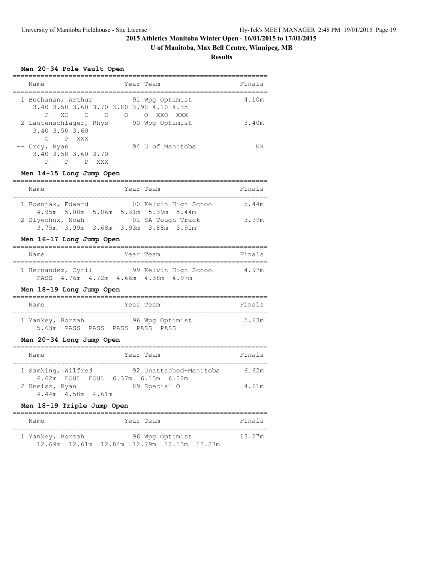# **U of Manitoba, Max Bell Centre, Winnipeg, MB**

**Results**

# **Men 20-34 Pole Vault Open**

| Name                        |                          |          |            |            | Year Team |                                                                                 |     |  | Finals |
|-----------------------------|--------------------------|----------|------------|------------|-----------|---------------------------------------------------------------------------------|-----|--|--------|
| 1 Buchanan, Arthur<br>P     | XO.                      | $\Omega$ | $\bigcirc$ | $\bigcirc$ |           | 91 Wpg Optimist<br>3.40 3.50 3.60 3.70 3.80 3.90 4.10 4.35<br>$\bigcirc$<br>XXO | XXX |  | 4.10m  |
| 2 Lautenschlager, Rhys<br>∩ | 3.40 3.50 3.60           | P XXX    |            |            |           | 90 Wpg Optimist                                                                 |     |  | 3.40m  |
| -- Croy, Ryan<br>Ρ          | 3.40 3.50 3.60 3.70<br>P | P        | XXX        |            |           | 94 U of Manitoba                                                                |     |  | ΝH     |

## **Men 14-15 Long Jump Open**

| Name              |  | Year Team |                                                              | Finals |
|-------------------|--|-----------|--------------------------------------------------------------|--------|
| 1 Bosnjak, Edward |  |           | 00 Kelvin High School<br>4.95m 5.08m 5.06m 5.31m 5.39m 5.44m | 5.44m  |
| 2 Slywchuk, Noah  |  |           | 01 SA Tough Track<br>3.75m 3.99m 3.68m 3.93m 3.88m 3.91m     | 3.99m  |

## **Men 16-17 Long Jump Open**

| Name               |  |                                    | Year Team |                       | Finals |
|--------------------|--|------------------------------------|-----------|-----------------------|--------|
| 1 Hernandez, Cyril |  |                                    |           | 99 Kelvin High School | 4.97m  |
|                    |  | PASS 4.76m 4.72m 4.66m 4.38m 4.97m |           |                       |        |

## **Men 18-19 Long Jump Open**

| Name             |  |                                | Year Team |                 | Finals |
|------------------|--|--------------------------------|-----------|-----------------|--------|
| 1 Yankey, Borzah |  |                                |           | 96 Wpg Optimist | 5.63m  |
|                  |  | 5.63m PASS PASS PASS PASS PASS |           |                 |        |

# **Men 20-34 Long Jump Open**

|  | Name           |                    | Year Team                                                   | Finals |  |  |  |  |  |
|--|----------------|--------------------|-------------------------------------------------------------|--------|--|--|--|--|--|
|  |                | 1 Samking, Wilfred | 92 Unattached-Manitoba<br>6.62m FOUL FOUL 6.37m 6.15m 6.32m | 6.62m  |  |  |  |  |  |
|  | 2 Kneisz, Ryan | 4.44m 4.50m 4.61m  | 89 Special O                                                | 4.61m  |  |  |  |  |  |

# **Men 18-19 Triple Jump Open**

| Name                       | Year Team       | Finals |
|----------------------------|-----------------|--------|
| 1 Yankey, Borzah           | 96 Wpg Optimist | 13.27m |
| 12.69m    12.61m    12.84m |                 |        |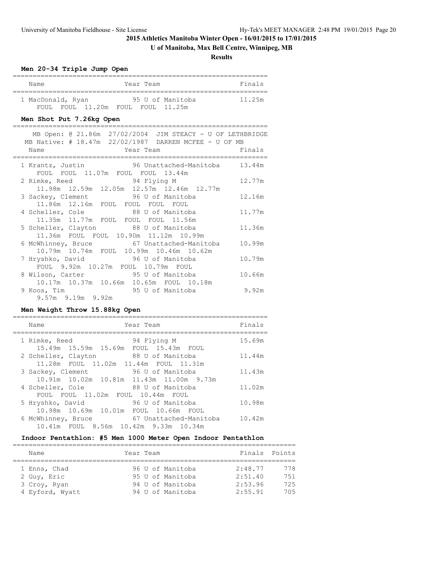# **U of Manitoba, Max Bell Centre, Winnipeg, MB**

**Results**

## **Men 20-34 Triple Jump Open**

| Year Team<br>Name                                                                                                                                                     | Finals |
|-----------------------------------------------------------------------------------------------------------------------------------------------------------------------|--------|
| 1 MacDonald, Ryan 55 U of Manitoba<br>FOUL FOUL 11.20m FOUL FOUL 11.25m<br>Men Shot Put 7.26kg Open                                                                   | 11.25m |
| ======<br>================<br>MB Open: @ 21.86m 27/02/2004 JIM STEACY - U OF LETHBRIDGE<br>MB Native: # 18.47m 22/02/1987 DARREN MCFEE - U OF MB<br>Year Team<br>Name | Finals |
| 1 Krantz, Justin 96 Unattached-Manitoba 13.44m<br>FOUL FOUL 11.07m FOUL FOUL 13.44m                                                                                   |        |
| 2 Rimke, Reed 94 Flying M<br>$11.98m$ $12.59m$ $12.05m$ $12.57m$ $12.46m$ $12.77m$                                                                                    | 12.77m |
| 3 Sackey, Clement 96 U of Manitoba<br>11.86m 12.16m FOUL FOUL FOUL FOUL                                                                                               | 12.16m |
| 4 Scheller, Cole 88 U of Manitoba<br>11.35m 11.77m FOUL FOUL FOUL 11.56m                                                                                              | 11.77m |
| 5 Scheller, Clayton 88 U of Manitoba<br>11.36m FOUL FOUL 10.90m 11.12m 10.99m                                                                                         | 11.36m |
| 6 McWhinney, Bruce 67 Unattached-Manitoba<br>10.79m 10.74m FOUL 10.99m 10.46m 10.62m                                                                                  | 10.99m |
| 7 Hryshko, David 96 U of Manitoba<br>FOUL 9.92m 10.27m FOUL 10.79m FOUL                                                                                               | 10.79m |
| 8 Wilson, Carter 95 U of Manitoba<br>10.17m  10.37m  10.66m  10.65m  FOUL  10.18m                                                                                     | 10.66m |
| 95 U of Manitoba<br>9 Koos, Tim<br>9.57m 9.19m 9.92m                                                                                                                  | 9.92m  |

# **Men Weight Throw 15.88kg Open**

| Name                                                          | Year Team              | Finals |
|---------------------------------------------------------------|------------------------|--------|
| 1 Rimke, Reed<br>15.49m 15.59m 15.69m FOUL 15.43m FOUL        | 94 Flying M            | 15.69m |
| 2 Scheller, Clayton<br>11.28m FOUL 11.02m 11.44m FOUL 11.31m  | 88 U of Manitoba       | 11.44m |
| 3 Sackey, Clement<br>10.91m 10.02m 10.81m 11.43m 11.00m 9.73m | 96 U of Manitoba       | 11.43m |
| 4 Scheller, Cole<br>FOUL FOUL 11.02m FOUL 10.44m FOUL         | 88 U of Manitoba       | 11.02m |
| 5 Hryshko, David<br>10.98m 10.69m 10.01m FOUL 10.66m FOUL     | 96 U of Manitoba       | 10.98m |
| 6 McWhinney, Bruce<br>10.41m FOUL 8.56m 10.42m 9.33m 10.34m   | 67 Unattached-Manitoba | 10.42m |

## **Indoor Pentathlon: #5 Men 1000 Meter Open Indoor Pentathlon**

| Name            | Year Team |  |  |                  | Finals Points |     |  |  |  |  |
|-----------------|-----------|--|--|------------------|---------------|-----|--|--|--|--|
|                 |           |  |  |                  |               |     |  |  |  |  |
| 1 Enns, Chad    |           |  |  | 96 U of Manitoba | 2:48.77       | 778 |  |  |  |  |
| 2 Guy, Eric     |           |  |  | 95 U of Manitoba | 2:51.40       | 751 |  |  |  |  |
| 3 Croy, Ryan    |           |  |  | 94 U of Manitoba | 2:53.96       | 725 |  |  |  |  |
| 4 Eyford, Wyatt |           |  |  | 94 U of Manitoba | 2:55.91       | 705 |  |  |  |  |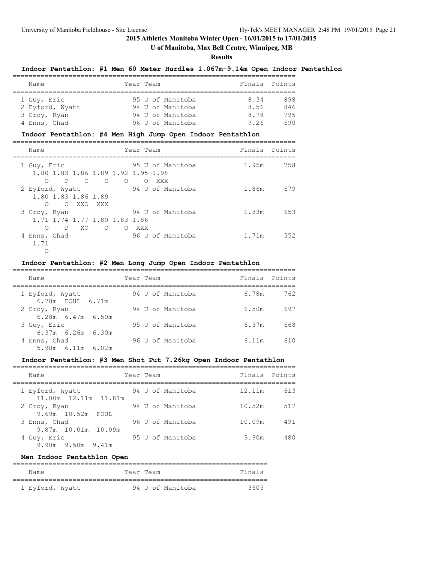# **U of Manitoba, Max Bell Centre, Winnipeg, MB**

#### **Results**

## **Indoor Pentathlon: #1 Men 60 Meter Hurdles 1.067m-9.14m Open Indoor Pentathlon**

| Name            |  | Year Team        | Finals Points |     |  |  |  |  |  |  |
|-----------------|--|------------------|---------------|-----|--|--|--|--|--|--|
|                 |  |                  |               |     |  |  |  |  |  |  |
| 1 Guy, Eric     |  | 95 U of Manitoba | 8.34          | 898 |  |  |  |  |  |  |
| 2 Eyford, Wyatt |  | 94 U of Manitoba | 8.56          | 846 |  |  |  |  |  |  |
| 3 Croy, Ryan    |  | 94 U of Manitoba | 8.78          | 795 |  |  |  |  |  |  |
| 4 Enns, Chad    |  | 96 U of Manitoba | 9.26          | 690 |  |  |  |  |  |  |

#### **Indoor Pentathlon: #4 Men High Jump Open Indoor Pentathlon**

| Name                                              |          |            |          | Year Team        |                  |       | Finals Points |
|---------------------------------------------------|----------|------------|----------|------------------|------------------|-------|---------------|
| 1 Guy, Eric<br>1.80 1.83 1.86 1.89 1.92 1.95 1.98 |          |            |          |                  | 95 U of Manitoba | 1.95m | 758           |
| P<br>∩                                            | $\Omega$ | $\circ$    | $\circ$  | $\left( \right)$ | XXX              |       |               |
| 2 Eyford, Wyatt                                   |          |            |          |                  | 94 U of Manitoba | 1.86m | 679           |
| 1.80 1.83 1.86 1.89                               |          |            |          |                  |                  |       |               |
| ∩                                                 | O XXO    | XXX X      |          |                  |                  |       |               |
| 3 Croy, Ryan                                      |          |            |          |                  | 94 U of Manitoba | 1.83m | 653           |
| 1.71 1.74 1.77 1.80 1.83 1.86                     |          |            |          |                  |                  |       |               |
| ∩<br>$\mathsf{P}$                                 | XO.      | $\bigcirc$ | $\Omega$ | XXX              |                  |       |               |
| 4 Enns, Chad                                      |          |            |          |                  | 96 U of Manitoba | 1.71m | 552           |
| 1.71                                              |          |            |          |                  |                  |       |               |
|                                                   |          |            |          |                  |                  |       |               |

# **Indoor Pentathlon: #2 Men Long Jump Open Indoor Pentathlon**

| Name                                    | Year Team        | Finals Points |     |
|-----------------------------------------|------------------|---------------|-----|
| 1 Eyford, Wyatt<br>6.78m FOUL 6.71m     | 94 U of Manitoba | 6.78m         | 762 |
| 2 Croy, Ryan<br>$6.28m$ $6.47m$ $6.50m$ | 94 U of Manitoba | 6.50m         | 697 |
| 3 Guy, Eric<br>$6.37m$ $6.26m$ $6.30m$  | 95 U of Manitoba | 6.37m         | 668 |
| 4 Enns, Chad<br>5.98m 6.11m 6.02m       | 96 U of Manitoba | 6.11m         | 610 |

## **Indoor Pentathlon: #3 Men Shot Put 7.26kg Open Indoor Pentathlon**

| Name                                    | Year Team |  |                  | Finals Points |     |
|-----------------------------------------|-----------|--|------------------|---------------|-----|
| 1 Eyford, Wyatt<br>11.00m 12.11m 11.81m |           |  | 94 U of Manitoba | 12.11m        | 613 |
| 2 Croy, Ryan<br>$9.69m$ 10.52m<br>FOUL. |           |  | 94 U of Manitoba | 10.52m        | 517 |
| 3 Enns, Chad<br>9.87m 10.01m 10.09m     |           |  | 96 U of Manitoba | 10.09m        | 491 |
| 4 Guy, Eric<br>$9.90m$ $9.50m$ $9.41m$  |           |  | 95 U of Manitoba | 9.90m         | 480 |

## **Men Indoor Pentathlon Open**

| Name            | Year Team |                  | Finals |
|-----------------|-----------|------------------|--------|
|                 |           |                  |        |
| 1 Eyford, Wyatt |           | 94 U of Manitoba | 3605   |